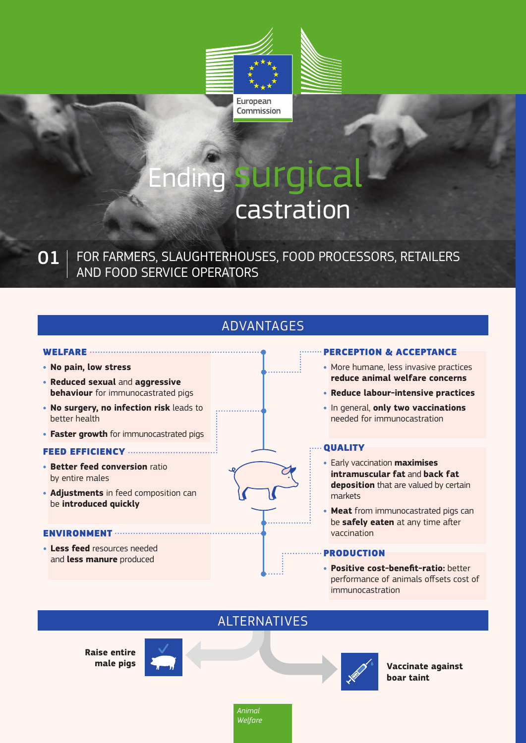

# Ending surgical castration

FOR FARMERS, SLAUGHTERHOUSES, FOOD PROCESSORS, RETAILERS AND FOOD SERVICE OPERATORS 01

# ADVANTAGES

### WELFARE ................................. **• No pain, low stress**

- **• Reduced sexual** and **aggressive behaviour** for immunocastrated pigs
- **• No surgery, no infection risk** leads to better health
- **• Faster growth** for immunocastrated pigs

### FEED EFFICIENCY

- **• Better feed conversion** ratio by entire males
- **• Adjustments** in feed composition can be **introduced quickly**

### ENVIRONMENT ...............

**• Less feed** resources needed **Less reed** resources needed<br>and **less manure** produced

### PERCEPTION & ACCEPTANCE

- **•** More humane, less invasive practices **reduce animal welfare concerns**
- **• Reduce labour-intensive practices**
- **•** In general, **only two vaccinations** needed for immunocastration

### **QUALITY**

- **•** Early vaccination **maximises intramuscular fat** and **back fat deposition** that are valued by certain markets
- **• Meat** from immunocastrated pigs can be **safely eaten** at any time after vaccination

**• Positive cost-benefit-ratio:** better performance of animals offsets cost of immunocastration

### ALTERNATIVES

**Raise entire** 





**male pigs**  $\left\{ \right\}$   $\left\{ \right\}$  **Vaccinate against boar taint**

> *Animal Welfare*